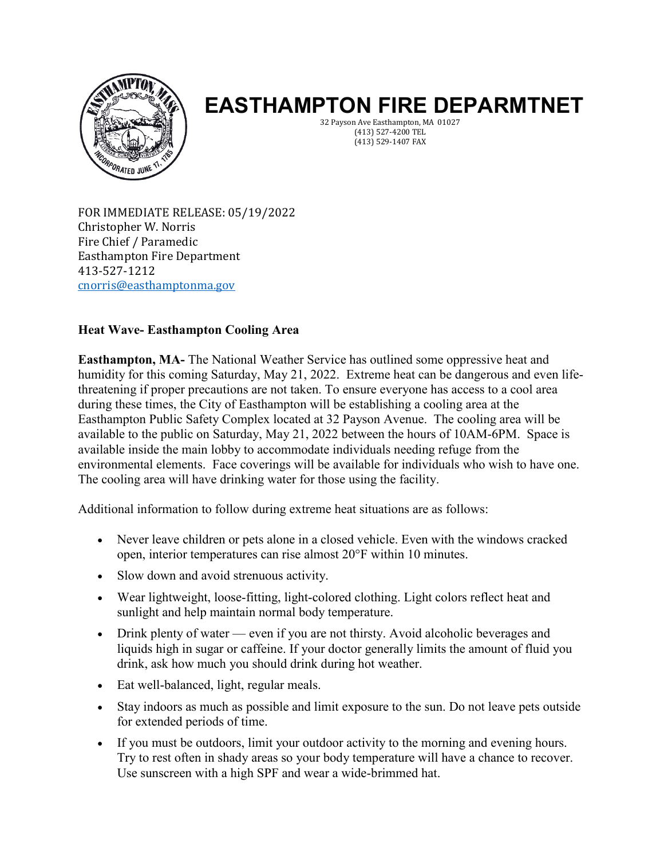

## **EASTHAMPTON FIRE DEPARMTNET**

32 Payson Ave Easthampton, MA 01027 (413) 527-4200 TEL (413) 529-1407 FAX

FOR IMMEDIATE RELEASE: 05/19/2022 Christopher W. Norris Fire Chief / Paramedic Easthampton Fire Department 413-527-1212 [cnorris@easthamptonma.gov](mailto:cnorris@easthamptonma.gov)

## **Heat Wave- Easthampton Cooling Area**

**Easthampton, MA-** The National Weather Service has outlined some oppressive heat and humidity for this coming Saturday, May 21, 2022. Extreme heat can be dangerous and even lifethreatening if proper precautions are not taken. To ensure everyone has access to a cool area during these times, the City of Easthampton will be establishing a cooling area at the Easthampton Public Safety Complex located at 32 Payson Avenue. The cooling area will be available to the public on Saturday, May 21, 2022 between the hours of 10AM-6PM. Space is available inside the main lobby to accommodate individuals needing refuge from the environmental elements. Face coverings will be available for individuals who wish to have one. The cooling area will have drinking water for those using the facility.

Additional information to follow during extreme heat situations are as follows:

- Never leave children or pets alone in a closed vehicle. Even with the windows cracked open, interior temperatures can rise almost 20°F within 10 minutes.
- Slow down and avoid strenuous activity.
- Wear lightweight, loose-fitting, light-colored clothing. Light colors reflect heat and sunlight and help maintain normal body temperature.
- Drink plenty of water even if you are not thirsty. Avoid alcoholic beverages and liquids high in sugar or caffeine. If your doctor generally limits the amount of fluid you drink, ask how much you should drink during hot weather.
- Eat well-balanced, light, regular meals.
- Stay indoors as much as possible and limit exposure to the sun. Do not leave pets outside for extended periods of time.
- If you must be outdoors, limit your outdoor activity to the morning and evening hours. Try to rest often in shady areas so your body temperature will have a chance to recover. Use sunscreen with a high SPF and wear a wide-brimmed hat.